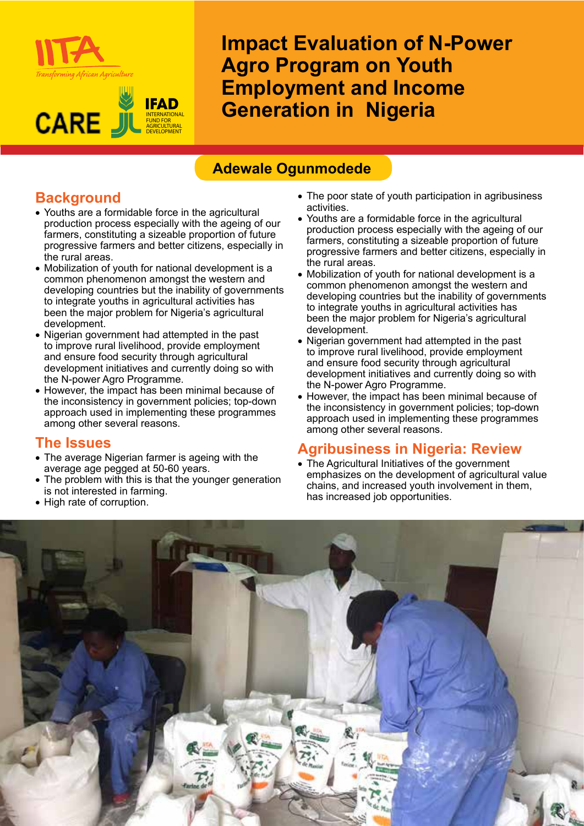



**Impact Evaluation of N-Power Agro Program on Youth Employment and Income Generation in Nigeria**

## **Adewale Ogunmodede**

# **Background**

- • Youths are a formidable force in the agricultural production process especially with the ageing of our farmers, constituting a sizeable proportion of future progressive farmers and better citizens, especially in the rural areas.
- Mobilization of youth for national development is a common phenomenon amongst the western and developing countries but the inability of governments to integrate youths in agricultural activities has been the major problem for Nigeria's agricultural development.
- Nigerian government had attempted in the past to improve rural livelihood, provide employment and ensure food security through agricultural development initiatives and currently doing so with the N-power Agro Programme.
- However, the impact has been minimal because of the inconsistency in government policies; top-down approach used in implementing these programmes among other several reasons.

#### **The Issues**

- The average Nigerian farmer is ageing with the average age pegged at 50-60 years.
- The problem with this is that the younger generation is not interested in farming.
- High rate of corruption.
- The poor state of youth participation in agribusiness activities.
- Youths are a formidable force in the agricultural production process especially with the ageing of our farmers, constituting a sizeable proportion of future progressive farmers and better citizens, especially in the rural areas.
- Mobilization of youth for national development is a common phenomenon amongst the western and developing countries but the inability of governments to integrate youths in agricultural activities has been the major problem for Nigeria's agricultural development.
- Nigerian government had attempted in the past to improve rural livelihood, provide employment and ensure food security through agricultural development initiatives and currently doing so with the N-power Agro Programme.
- However, the impact has been minimal because of the inconsistency in government policies; top-down approach used in implementing these programmes among other several reasons.

### **Agribusiness in Nigeria: Review**

• The Agricultural Initiatives of the government emphasizes on the development of agricultural value chains, and increased youth involvement in them, has increased job opportunities.